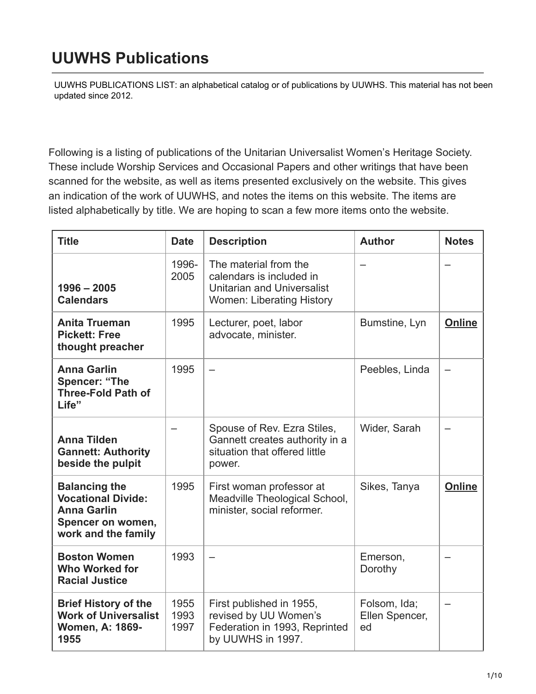## **UUWHS Publications**

[UUWHS PUBLICATIONS LIST: an alphabetical catalog or of publications by UUWHS. This material has not bee](https://uuhhs.org/womens-history/uuwhs-publications/)n updated since 2012.

Following is a listing of publications of the Unitarian Universalist Women's Heritage Society. These include Worship Services and Occasional Papers and other writings that have been scanned for the website, as well as items presented exclusively on the website. This gives an indication of the work of UUWHS, and notes the items on this website. The items are listed alphabetically by title. We are hoping to scan a few more items onto the website.

| <b>Title</b>                                                                                                        | <b>Date</b>          | <b>Description</b>                                                                                                         | <b>Author</b>                        | <b>Notes</b>  |
|---------------------------------------------------------------------------------------------------------------------|----------------------|----------------------------------------------------------------------------------------------------------------------------|--------------------------------------|---------------|
| $1996 - 2005$<br><b>Calendars</b>                                                                                   | 1996-<br>2005        | The material from the<br>calendars is included in<br><b>Unitarian and Universalist</b><br><b>Women: Liberating History</b> |                                      |               |
| <b>Anita Trueman</b><br><b>Pickett: Free</b><br>thought preacher                                                    | 1995                 | Lecturer, poet, labor<br>advocate, minister.                                                                               | Bumstine, Lyn                        | <b>Online</b> |
| <b>Anna Garlin</b><br><b>Spencer: "The</b><br><b>Three-Fold Path of</b><br>Life"                                    | 1995                 |                                                                                                                            | Peebles, Linda                       |               |
| <b>Anna Tilden</b><br><b>Gannett: Authority</b><br>beside the pulpit                                                |                      | Spouse of Rev. Ezra Stiles,<br>Gannett creates authority in a<br>situation that offered little<br>power.                   | Wider, Sarah                         |               |
| <b>Balancing the</b><br><b>Vocational Divide:</b><br><b>Anna Garlin</b><br>Spencer on women,<br>work and the family | 1995                 | First woman professor at<br>Meadville Theological School,<br>minister, social reformer.                                    | Sikes, Tanya                         | <b>Online</b> |
| <b>Boston Women</b><br><b>Who Worked for</b><br><b>Racial Justice</b>                                               | 1993                 |                                                                                                                            | Emerson,<br>Dorothy                  |               |
| <b>Brief History of the</b><br><b>Work of Universalist</b><br>Women, A: 1869-<br>1955                               | 1955<br>1993<br>1997 | First published in 1955,<br>revised by UU Women's<br>Federation in 1993, Reprinted<br>by UUWHS in 1997.                    | Folsom, Ida;<br>Ellen Spencer,<br>ed |               |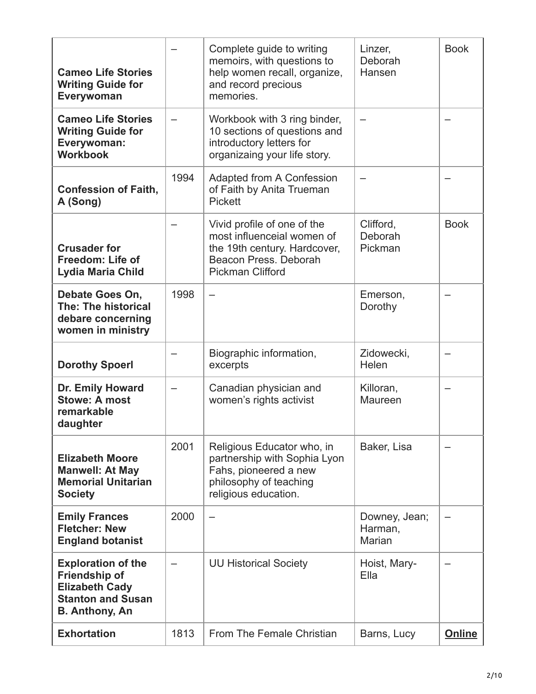| <b>Cameo Life Stories</b><br><b>Writing Guide for</b><br>Everywoman                                                      |      | Complete guide to writing<br>memoirs, with questions to<br>help women recall, organize,<br>and record precious<br>memories.                   | Linzer,<br>Deborah<br>Hansen              | <b>Book</b> |
|--------------------------------------------------------------------------------------------------------------------------|------|-----------------------------------------------------------------------------------------------------------------------------------------------|-------------------------------------------|-------------|
| <b>Cameo Life Stories</b><br><b>Writing Guide for</b><br>Everywoman:<br><b>Workbook</b>                                  |      | Workbook with 3 ring binder,<br>10 sections of questions and<br>introductory letters for<br>organizaing your life story.                      |                                           |             |
| <b>Confession of Faith,</b><br>A (Song)                                                                                  | 1994 | Adapted from A Confession<br>of Faith by Anita Trueman<br><b>Pickett</b>                                                                      |                                           |             |
| <b>Crusader for</b><br>Freedom: Life of<br>Lydia Maria Child                                                             |      | Vivid profile of one of the<br>most influenceial women of<br>the 19th century. Hardcover,<br>Beacon Press, Deborah<br><b>Pickman Clifford</b> | Clifford,<br>Deborah<br>Pickman           | <b>Book</b> |
| Debate Goes On,<br>The: The historical<br>debare concerning<br>women in ministry                                         | 1998 |                                                                                                                                               | Emerson,<br>Dorothy                       |             |
| <b>Dorothy Spoerl</b>                                                                                                    |      | Biographic information,<br>excerpts                                                                                                           | Zidowecki,<br>Helen                       |             |
| Dr. Emily Howard<br><b>Stowe: A most</b><br>remarkable<br>daughter                                                       |      | Canadian physician and<br>women's rights activist                                                                                             | Killoran,<br>Maureen                      | —           |
| <b>Elizabeth Moore</b><br><b>Manwell: At May</b><br><b>Memorial Unitarian</b><br><b>Society</b>                          | 2001 | Religious Educator who, in<br>partnership with Sophia Lyon<br>Fahs, pioneered a new<br>philosophy of teaching<br>religious education.         | Baker, Lisa                               |             |
| <b>Emily Frances</b><br><b>Fletcher: New</b><br><b>England botanist</b>                                                  | 2000 |                                                                                                                                               | Downey, Jean;<br>Harman,<br><b>Marian</b> |             |
| <b>Exploration of the</b><br>Friendship of<br><b>Elizabeth Cady</b><br><b>Stanton and Susan</b><br><b>B.</b> Anthony, An |      | <b>UU Historical Society</b>                                                                                                                  | Hoist, Mary-<br>Ella                      |             |
| <b>Exhortation</b>                                                                                                       | 1813 | From The Female Christian                                                                                                                     | Barns, Lucy                               | Online      |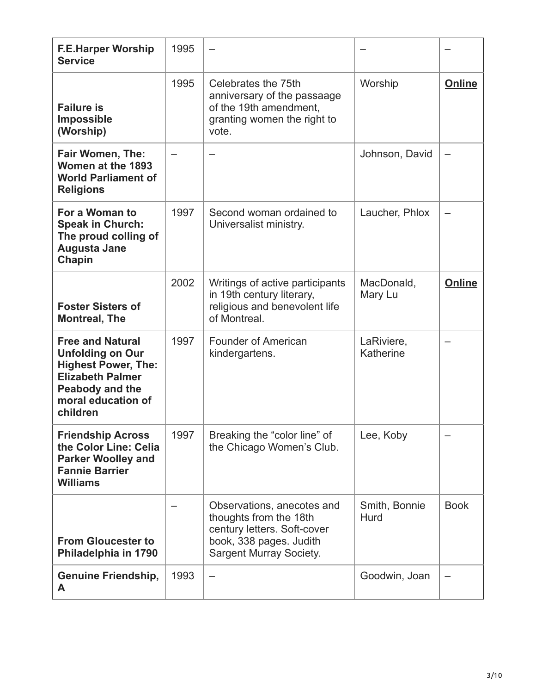| <b>F.E.Harper Worship</b><br><b>Service</b>                                                                                                                             | 1995 |                                                                                                                                                  |                         |               |
|-------------------------------------------------------------------------------------------------------------------------------------------------------------------------|------|--------------------------------------------------------------------------------------------------------------------------------------------------|-------------------------|---------------|
| <b>Failure is</b><br>Impossible<br>(Worship)                                                                                                                            | 1995 | Celebrates the 75th<br>anniversary of the passaage<br>of the 19th amendment,<br>granting women the right to<br>vote.                             | Worship                 | <b>Online</b> |
| Fair Women, The:<br>Women at the 1893<br><b>World Parliament of</b><br><b>Religions</b>                                                                                 |      |                                                                                                                                                  | Johnson, David          |               |
| For a Woman to<br><b>Speak in Church:</b><br>The proud colling of<br><b>Augusta Jane</b><br>Chapin                                                                      | 1997 | Second woman ordained to<br>Universalist ministry.                                                                                               | Laucher, Phlox          |               |
| <b>Foster Sisters of</b><br><b>Montreal, The</b>                                                                                                                        | 2002 | Writings of active participants<br>in 19th century literary,<br>religious and benevolent life<br>of Montreal.                                    | MacDonald,<br>Mary Lu   | <b>Online</b> |
| <b>Free and Natural</b><br><b>Unfolding on Our</b><br><b>Highest Power, The:</b><br><b>Elizabeth Palmer</b><br><b>Peabody and the</b><br>moral education of<br>children | 1997 | <b>Founder of American</b><br>kindergartens.                                                                                                     | LaRiviere,<br>Katherine |               |
| <b>Friendship Across</b><br>the Color Line: Celia<br><b>Parker Woolley and</b><br><b>Fannie Barrier</b><br><b>Williams</b>                                              | 1997 | Breaking the "color line" of<br>the Chicago Women's Club.                                                                                        | Lee, Koby               |               |
| <b>From Gloucester to</b><br>Philadelphia in 1790                                                                                                                       |      | Observations, anecotes and<br>thoughts from the 18th<br>century letters. Soft-cover<br>book, 338 pages. Judith<br><b>Sargent Murray Society.</b> | Smith, Bonnie<br>Hurd   | <b>Book</b>   |
| <b>Genuine Friendship,</b><br>A                                                                                                                                         | 1993 |                                                                                                                                                  | Goodwin, Joan           |               |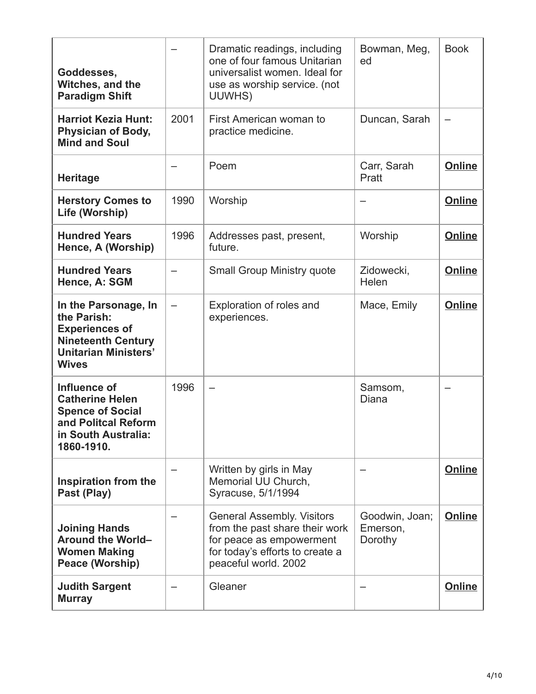| Goddesses,<br>Witches, and the<br><b>Paradigm Shift</b>                                                                                  |      | Dramatic readings, including<br>one of four famous Unitarian<br>universalist women. Ideal for<br>use as worship service. (not<br>UUWHS)                    | Bowman, Meg,<br>ed                    | <b>Book</b>   |
|------------------------------------------------------------------------------------------------------------------------------------------|------|------------------------------------------------------------------------------------------------------------------------------------------------------------|---------------------------------------|---------------|
| <b>Harriot Kezia Hunt:</b><br><b>Physician of Body,</b><br><b>Mind and Soul</b>                                                          | 2001 | First American woman to<br>practice medicine.                                                                                                              | Duncan, Sarah                         |               |
| <b>Heritage</b>                                                                                                                          |      | Poem                                                                                                                                                       | Carr, Sarah<br>Pratt                  | <b>Online</b> |
| <b>Herstory Comes to</b><br>Life (Worship)                                                                                               | 1990 | Worship                                                                                                                                                    |                                       | Online        |
| <b>Hundred Years</b><br>Hence, A (Worship)                                                                                               | 1996 | Addresses past, present,<br>future.                                                                                                                        | Worship                               | Online        |
| <b>Hundred Years</b><br>Hence, A: SGM                                                                                                    |      | <b>Small Group Ministry quote</b>                                                                                                                          | Zidowecki,<br>Helen                   | Online        |
| In the Parsonage, In<br>the Parish:<br><b>Experiences of</b><br><b>Nineteenth Century</b><br><b>Unitarian Ministers'</b><br><b>Wives</b> |      | Exploration of roles and<br>experiences.                                                                                                                   | Mace, Emily                           | Online        |
| Influence of<br><b>Catherine Helen</b><br><b>Spence of Social</b><br>and Politcal Reform<br>in South Australia:<br>1860-1910.            | 1996 |                                                                                                                                                            | Samsom,<br>Diana                      |               |
| Inspiration from the<br>Past (Play)                                                                                                      |      | Written by girls in May<br>Memorial UU Church,<br>Syracuse, 5/1/1994                                                                                       |                                       | Online        |
| <b>Joining Hands</b><br>Around the World-<br><b>Women Making</b><br><b>Peace (Worship)</b>                                               |      | <b>General Assembly. Visitors</b><br>from the past share their work<br>for peace as empowerment<br>for today's efforts to create a<br>peaceful world. 2002 | Goodwin, Joan;<br>Emerson,<br>Dorothy | Online        |
| <b>Judith Sargent</b><br><b>Murray</b>                                                                                                   |      | Gleaner                                                                                                                                                    |                                       | Online        |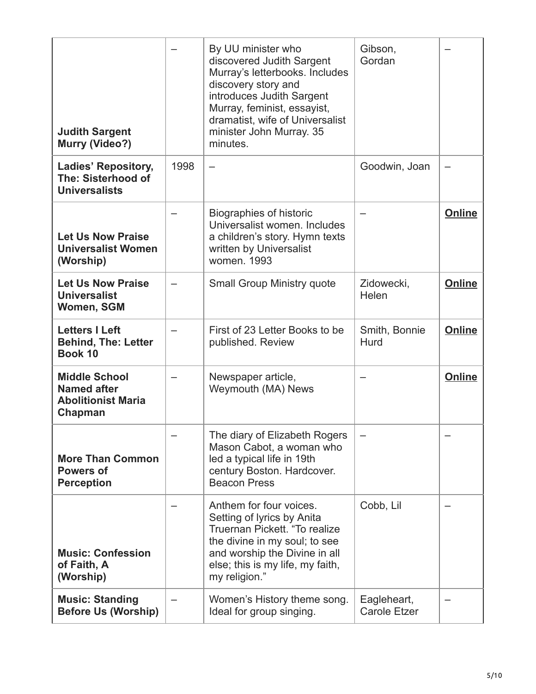| <b>Judith Sargent</b><br><b>Murry (Video?)</b>                                     |      | By UU minister who<br>discovered Judith Sargent<br>Murray's letterbooks. Includes<br>discovery story and<br>introduces Judith Sargent<br>Murray, feminist, essayist,<br>dramatist, wife of Universalist<br>minister John Murray. 35<br>minutes. | Gibson,<br>Gordan                  |               |
|------------------------------------------------------------------------------------|------|-------------------------------------------------------------------------------------------------------------------------------------------------------------------------------------------------------------------------------------------------|------------------------------------|---------------|
| <b>Ladies' Repository,</b><br>The: Sisterhood of<br><b>Universalists</b>           | 1998 |                                                                                                                                                                                                                                                 | Goodwin, Joan                      |               |
| <b>Let Us Now Praise</b><br><b>Universalist Women</b><br>(Worship)                 |      | Biographies of historic<br>Universalist women. Includes<br>a children's story. Hymn texts<br>written by Universalist<br>women. 1993                                                                                                             |                                    | Online        |
| <b>Let Us Now Praise</b><br><b>Universalist</b><br>Women, SGM                      |      | <b>Small Group Ministry quote</b>                                                                                                                                                                                                               | Zidowecki,<br>Helen                | <b>Online</b> |
| <b>Letters I Left</b><br><b>Behind, The: Letter</b><br>Book 10                     |      | First of 23 Letter Books to be<br>published. Review                                                                                                                                                                                             | Smith, Bonnie<br>Hurd              | <b>Online</b> |
| <b>Middle School</b><br><b>Named after</b><br><b>Abolitionist Maria</b><br>Chapman |      | Newspaper article,<br>Weymouth (MA) News                                                                                                                                                                                                        |                                    | <b>Online</b> |
| <b>More Than Common</b><br><b>Powers of</b><br><b>Perception</b>                   |      | The diary of Elizabeth Rogers<br>Mason Cabot, a woman who<br>led a typical life in 19th<br>century Boston. Hardcover.<br><b>Beacon Press</b>                                                                                                    |                                    |               |
| <b>Music: Confession</b><br>of Faith, A<br>(Worship)                               |      | Anthem for four voices.<br>Setting of lyrics by Anita<br>Truernan Pickett. "To realize<br>the divine in my soul; to see<br>and worship the Divine in all<br>else; this is my life, my faith,<br>my religion."                                   | Cobb, Lil                          |               |
| <b>Music: Standing</b><br><b>Before Us (Worship)</b>                               |      | Women's History theme song.<br>Ideal for group singing.                                                                                                                                                                                         | Eagleheart,<br><b>Carole Etzer</b> |               |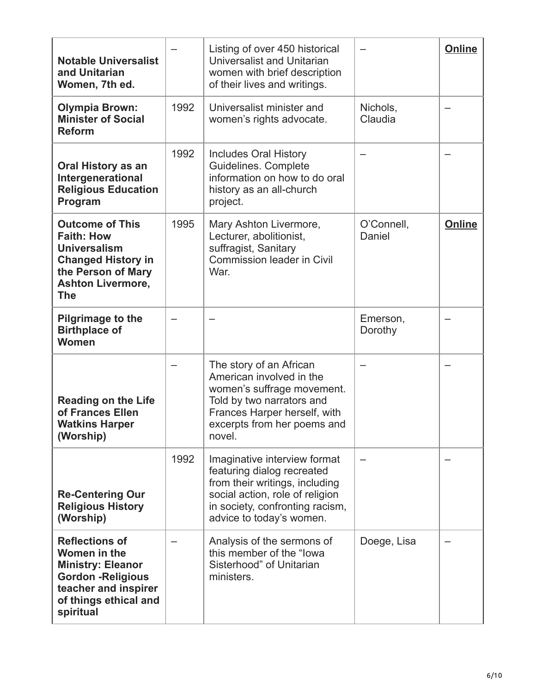| <b>Notable Universalist</b><br>and Unitarian<br>Women, 7th ed.                                                                                                  |      | Listing of over 450 historical<br><b>Universalist and Unitarian</b><br>women with brief description<br>of their lives and writings.                                                            |                      | <b>Online</b> |
|-----------------------------------------------------------------------------------------------------------------------------------------------------------------|------|------------------------------------------------------------------------------------------------------------------------------------------------------------------------------------------------|----------------------|---------------|
| <b>Olympia Brown:</b><br><b>Minister of Social</b><br><b>Reform</b>                                                                                             | 1992 | Universalist minister and<br>women's rights advocate.                                                                                                                                          | Nichols,<br>Claudia  |               |
| <b>Oral History as an</b><br>Intergenerational<br><b>Religious Education</b><br>Program                                                                         | 1992 | <b>Includes Oral History</b><br>Guidelines. Complete<br>information on how to do oral<br>history as an all-church<br>project.                                                                  |                      |               |
| <b>Outcome of This</b><br><b>Faith: How</b><br><b>Universalism</b><br><b>Changed History in</b><br>the Person of Mary<br><b>Ashton Livermore,</b><br><b>The</b> | 1995 | Mary Ashton Livermore,<br>Lecturer, abolitionist,<br>suffragist, Sanitary<br><b>Commission leader in Civil</b><br>War.                                                                         | O'Connell,<br>Daniel | <b>Online</b> |
| <b>Pilgrimage to the</b><br><b>Birthplace of</b><br>Women                                                                                                       |      |                                                                                                                                                                                                | Emerson,<br>Dorothy  |               |
| <b>Reading on the Life</b><br>of Frances Ellen<br><b>Watkins Harper</b><br>(Worship)                                                                            |      | The story of an African<br>American involved in the<br>women's suffrage movement.<br>Told by two narrators and<br>Frances Harper herself, with<br>excerpts from her poems and<br>novel.        |                      |               |
| <b>Re-Centering Our</b><br><b>Religious History</b><br>(Worship)                                                                                                | 1992 | Imaginative interview format<br>featuring dialog recreated<br>from their writings, including<br>social action, role of religion<br>in society, confronting racism,<br>advice to today's women. |                      |               |
| <b>Reflections of</b><br>Women in the<br><b>Ministry: Eleanor</b><br><b>Gordon - Religious</b><br>teacher and inspirer<br>of things ethical and<br>spiritual    |      | Analysis of the sermons of<br>this member of the "lowa<br>Sisterhood" of Unitarian<br>ministers.                                                                                               | Doege, Lisa          |               |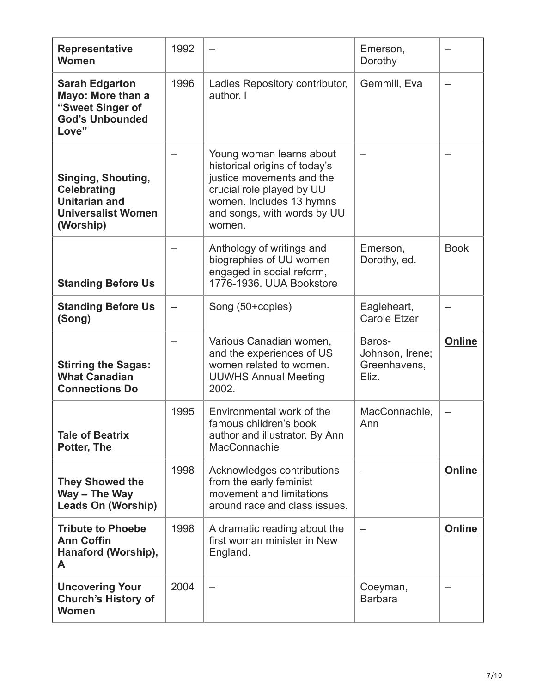| <b>Representative</b><br><b>Women</b>                                                                             | 1992 |                                                                                                                                                                                          | Emerson,<br>Dorothy                |               |
|-------------------------------------------------------------------------------------------------------------------|------|------------------------------------------------------------------------------------------------------------------------------------------------------------------------------------------|------------------------------------|---------------|
| <b>Sarah Edgarton</b><br>Mayo: More than a<br>"Sweet Singer of<br><b>God's Unbounded</b><br>Love"                 | 1996 | Ladies Repository contributor,<br>author. I                                                                                                                                              | Gemmill, Eva                       |               |
| <b>Singing, Shouting,</b><br><b>Celebrating</b><br><b>Unitarian and</b><br><b>Universalist Women</b><br>(Worship) |      | Young woman learns about<br>historical origins of today's<br>justice movements and the<br>crucial role played by UU<br>women. Includes 13 hymns<br>and songs, with words by UU<br>women. |                                    |               |
| <b>Standing Before Us</b>                                                                                         |      | Anthology of writings and<br>biographies of UU women<br>engaged in social reform,<br>1776-1936. UUA Bookstore                                                                            | Emerson,<br>Dorothy, ed.           | <b>Book</b>   |
| <b>Standing Before Us</b><br>(Song)                                                                               |      | Song (50+copies)                                                                                                                                                                         | Eagleheart,<br><b>Carole Etzer</b> |               |
|                                                                                                                   |      | Various Canadian women,<br>and the experiences of US                                                                                                                                     | Baros-<br>Johnson, Irene;          | Online        |
| <b>Stirring the Sagas:</b><br><b>What Canadian</b><br><b>Connections Do</b>                                       |      | women related to women.<br><b>UUWHS Annual Meeting</b><br>2002.                                                                                                                          | Greenhavens,<br>Eliz.              |               |
| <b>Tale of Beatrix</b><br>Potter, The                                                                             | 1995 | Environmental work of the<br>famous children's book<br>author and illustrator. By Ann<br>MacConnachie                                                                                    | MacConnachie,<br>Ann               |               |
| <b>They Showed the</b><br>Way - The Way<br><b>Leads On (Worship)</b>                                              | 1998 | Acknowledges contributions<br>from the early feminist<br>movement and limitations<br>around race and class issues.                                                                       |                                    | Online        |
| <b>Tribute to Phoebe</b><br><b>Ann Coffin</b><br>Hanaford (Worship),<br>A                                         | 1998 | A dramatic reading about the<br>first woman minister in New<br>England.                                                                                                                  |                                    | <b>Online</b> |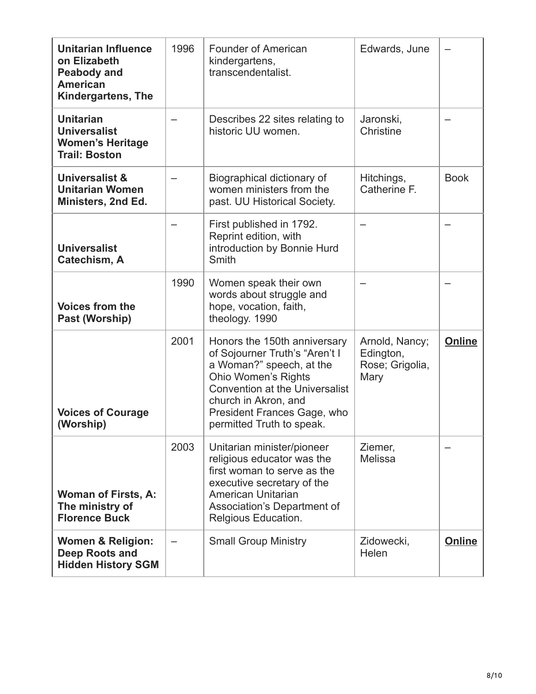| <b>Unitarian Influence</b><br>on Elizabeth<br><b>Peabody and</b><br><b>American</b><br><b>Kindergartens, The</b> | 1996 | <b>Founder of American</b><br>kindergartens,<br>transcendentalist.                                                                                                                                                                                    | Edwards, June                                          |             |
|------------------------------------------------------------------------------------------------------------------|------|-------------------------------------------------------------------------------------------------------------------------------------------------------------------------------------------------------------------------------------------------------|--------------------------------------------------------|-------------|
| <b>Unitarian</b><br><b>Universalist</b><br><b>Women's Heritage</b><br><b>Trail: Boston</b>                       |      | Describes 22 sites relating to<br>historic UU women.                                                                                                                                                                                                  | Jaronski,<br>Christine                                 |             |
| Universalist &<br><b>Unitarian Women</b><br>Ministers, 2nd Ed.                                                   |      | Biographical dictionary of<br>women ministers from the<br>past. UU Historical Society.                                                                                                                                                                | Hitchings,<br>Catherine F.                             | <b>Book</b> |
| <b>Universalist</b><br>Catechism, A                                                                              |      | First published in 1792.<br>Reprint edition, with<br>introduction by Bonnie Hurd<br>Smith                                                                                                                                                             |                                                        |             |
| <b>Voices from the</b><br>Past (Worship)                                                                         | 1990 | Women speak their own<br>words about struggle and<br>hope, vocation, faith,<br>theology. 1990                                                                                                                                                         |                                                        |             |
| <b>Voices of Courage</b><br>(Worship)                                                                            | 2001 | Honors the 150th anniversary<br>of Sojourner Truth's "Aren't I<br>a Woman?" speech, at the<br><b>Ohio Women's Rights</b><br><b>Convention at the Universalist</b><br>church in Akron, and<br>President Frances Gage, who<br>permitted Truth to speak. | Arnold, Nancy;<br>Edington,<br>Rose; Grigolia,<br>Mary | Online      |
| <b>Woman of Firsts, A:</b><br>The ministry of<br><b>Florence Buck</b>                                            | 2003 | Unitarian minister/pioneer<br>religious educator was the<br>first woman to serve as the<br>executive secretary of the<br>American Unitarian<br>Association's Department of<br>Relgious Education.                                                     | Ziemer,<br><b>Melissa</b>                              |             |
| <b>Women &amp; Religion:</b><br>Deep Roots and<br><b>Hidden History SGM</b>                                      |      | <b>Small Group Ministry</b>                                                                                                                                                                                                                           | Zidowecki,<br>Helen                                    | Online      |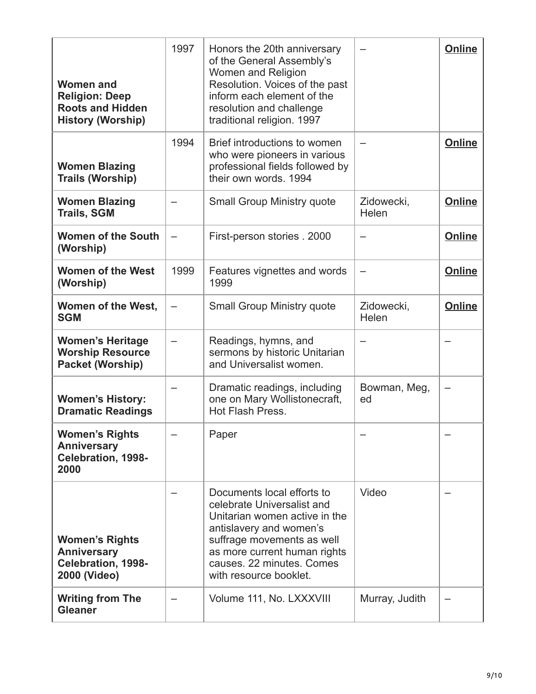| <b>Women and</b><br><b>Religion: Deep</b><br><b>Roots and Hidden</b><br><b>History (Worship)</b> | 1997 | Honors the 20th anniversary<br>of the General Assembly's<br>Women and Religion<br>Resolution. Voices of the past<br>inform each element of the<br>resolution and challenge<br>traditional religion. 1997                                  |                     | <b>Online</b> |
|--------------------------------------------------------------------------------------------------|------|-------------------------------------------------------------------------------------------------------------------------------------------------------------------------------------------------------------------------------------------|---------------------|---------------|
| <b>Women Blazing</b><br>Trails (Worship)                                                         | 1994 | Brief introductions to women<br>who were pioneers in various<br>professional fields followed by<br>their own words, 1994                                                                                                                  |                     | Online        |
| <b>Women Blazing</b><br><b>Trails, SGM</b>                                                       |      | <b>Small Group Ministry quote</b>                                                                                                                                                                                                         | Zidowecki,<br>Helen | Online        |
| <b>Women of the South</b><br>(Worship)                                                           |      | First-person stories . 2000                                                                                                                                                                                                               |                     | Online        |
| <b>Women of the West</b><br>(Worship)                                                            | 1999 | Features vignettes and words<br>1999                                                                                                                                                                                                      |                     | <b>Online</b> |
| Women of the West,<br><b>SGM</b>                                                                 |      | <b>Small Group Ministry quote</b>                                                                                                                                                                                                         | Zidowecki,<br>Helen | Online        |
| <b>Women's Heritage</b><br><b>Worship Resource</b><br><b>Packet (Worship)</b>                    |      | Readings, hymns, and<br>sermons by historic Unitarian<br>and Universalist women.                                                                                                                                                          |                     |               |
| <b>Women's History:</b><br><b>Dramatic Readings</b>                                              |      | Dramatic readings, including<br>one on Mary Wollistonecraft,<br>Hot Flash Press.                                                                                                                                                          | Bowman, Meg,<br>ed  |               |
| <b>Women's Rights</b><br><b>Anniversary</b><br><b>Celebration, 1998-</b><br>2000                 |      | Paper                                                                                                                                                                                                                                     |                     |               |
| <b>Women's Rights</b><br><b>Anniversary</b><br><b>Celebration, 1998-</b><br>2000 (Video)         |      | Documents local efforts to<br>celebrate Universalist and<br>Unitarian women active in the<br>antislavery and women's<br>suffrage movements as well<br>as more current human rights<br>causes. 22 minutes. Comes<br>with resource booklet. | Video               |               |
| <b>Writing from The</b><br><b>Gleaner</b>                                                        |      | Volume 111, No. LXXXVIII                                                                                                                                                                                                                  | Murray, Judith      |               |